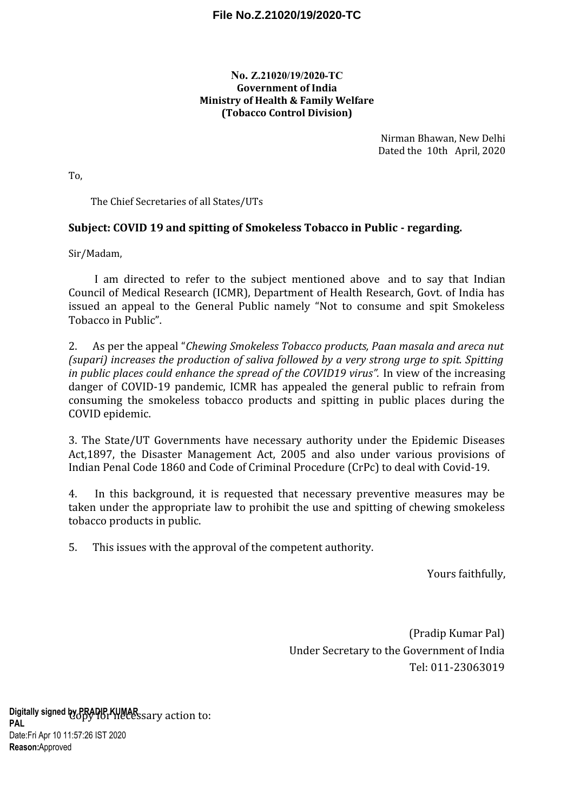## **File No.Z.21020/19/2020-TC**

## **No. Z.21020/19/2020-TC Government of India Ministry of Health & Family Welfare (Tobacco Control Division)**

Nirman Bhawan, New Delhi Dated the 10th April, 2020

To,

The Chief Secretaries of all States/UTs

## **Subject: COVID 19 and spitting of Smokeless Tobacco in Public - regarding.**

Sir/Madam,

I am directed to refer to the subject mentioned above and to say that Indian Council of Medical Research (ICMR), Department of Health Research, Govt. of India has issued an appeal to the General Public namely "Not to consume and spit Smokeless Tobacco in Public".

2. As per the appeal "*Chewing Smokeless Tobacco products, Paan masala and areca nut (supari) increases the production of saliva followed by a very strong urge to spit. Spitting* in public places could enhance the spread of the COVID19 virus". In view of the increasing danger of COVID-19 pandemic, ICMR has appealed the general public to refrain from consuming the smokeless tobacco products and spitting in public places during the COVID epidemic.

3. The State/UT Governments have necessary authority under the Epidemic Diseases Act,1897, the Disaster Management Act, 2005 and also under various provisions of Indian Penal Code 1860 and Code of Criminal Procedure (CrPc) to deal with Covid-19.

4. In this background, it is requested that necessary preventive measures may be taken under the appropriate law to prohibit the use and spitting of chewing smokeless tobacco products in public.

5. This issues with the approval of the competent authority.

Yours faithfully,

(Pradip Kumar Pal) Under Secretary to the Government of India Tel: 011-23063019

Digitally signed by PRADIP KUMAR sary action to: **PAL** Date: Fri Apr 10 11:57:26 IST 2020 Reason:Approved